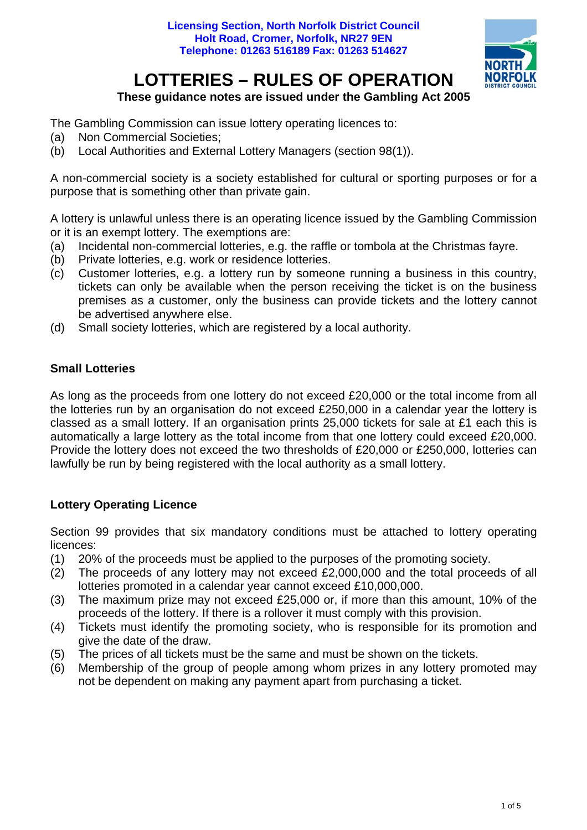

### **These guidance notes are issued under the Gambling Act 2005**

The Gambling Commission can issue lottery operating licences to:

- (a) Non Commercial Societies;
- (b) Local Authorities and External Lottery Managers (section 98(1)).

A non-commercial society is a society established for cultural or sporting purposes or for a purpose that is something other than private gain.

A lottery is unlawful unless there is an operating licence issued by the Gambling Commission or it is an exempt lottery. The exemptions are:

- (a) Incidental non-commercial lotteries, e.g. the raffle or tombola at the Christmas fayre.
- (b) Private lotteries, e.g. work or residence lotteries.
- (c) Customer lotteries, e.g. a lottery run by someone running a business in this country, tickets can only be available when the person receiving the ticket is on the business premises as a customer, only the business can provide tickets and the lottery cannot be advertised anywhere else.
- (d) Small society lotteries, which are registered by a local authority.

## **Small Lotteries**

As long as the proceeds from one lottery do not exceed £20,000 or the total income from all the lotteries run by an organisation do not exceed £250,000 in a calendar year the lottery is classed as a small lottery. If an organisation prints 25,000 tickets for sale at £1 each this is automatically a large lottery as the total income from that one lottery could exceed £20,000. Provide the lottery does not exceed the two thresholds of £20,000 or £250,000, lotteries can lawfully be run by being registered with the local authority as a small lottery.

# **Lottery Operating Licence**

Section 99 provides that six mandatory conditions must be attached to lottery operating licences:

- (1) 20% of the proceeds must be applied to the purposes of the promoting society.
- (2) The proceeds of any lottery may not exceed £2,000,000 and the total proceeds of all lotteries promoted in a calendar year cannot exceed £10,000,000.
- (3) The maximum prize may not exceed £25,000 or, if more than this amount, 10% of the proceeds of the lottery. If there is a rollover it must comply with this provision.
- (4) Tickets must identify the promoting society, who is responsible for its promotion and give the date of the draw.
- (5) The prices of all tickets must be the same and must be shown on the tickets.
- (6) Membership of the group of people among whom prizes in any lottery promoted may not be dependent on making any payment apart from purchasing a ticket.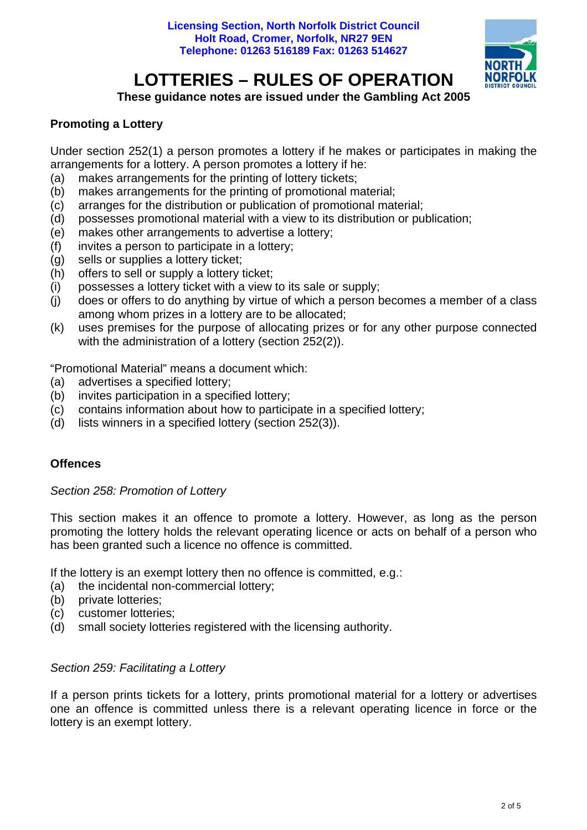

**These guidance notes are issued under the Gambling Act 2005** 

## **Promoting a Lottery**

Under section 252(1) a person promotes a lottery if he makes or participates in making the arrangements for a lottery. A person promotes a lottery if he:

- (a) makes arrangements for the printing of lottery tickets;
- (b) makes arrangements for the printing of promotional material;
- (c) arranges for the distribution or publication of promotional material;
- (d) possesses promotional material with a view to its distribution or publication;
- (e) makes other arrangements to advertise a lottery;
- (f) invites a person to participate in a lottery;
- (g) sells or supplies a lottery ticket;
- (h) offers to sell or supply a lottery ticket;
- (i) possesses a lottery ticket with a view to its sale or supply;
- (j) does or offers to do anything by virtue of which a person becomes a member of a class among whom prizes in a lottery are to be allocated;
- (k) uses premises for the purpose of allocating prizes or for any other purpose connected with the administration of a lottery (section 252(2)).

"Promotional Material" means a document which:

- (a) advertises a specified lottery;
- (b) invites participation in a specified lottery;
- (c) contains information about how to participate in a specified lottery;
- (d) lists winners in a specified lottery (section 252(3)).

#### **Offences**

*Section 258: Promotion of Lottery*

This section makes it an offence to promote a lottery. However, as long as the person promoting the lottery holds the relevant operating licence or acts on behalf of a person who has been granted such a licence no offence is committed.

If the lottery is an exempt lottery then no offence is committed, e.g.:

- (a) the incidental non-commercial lottery;
- (b) private lotteries:
- (c) customer lotteries;
- (d) small society lotteries registered with the licensing authority.

### *Section 259: Facilitating a Lottery*

If a person prints tickets for a lottery, prints promotional material for a lottery or advertises one an offence is committed unless there is a relevant operating licence in force or the lottery is an exempt lottery.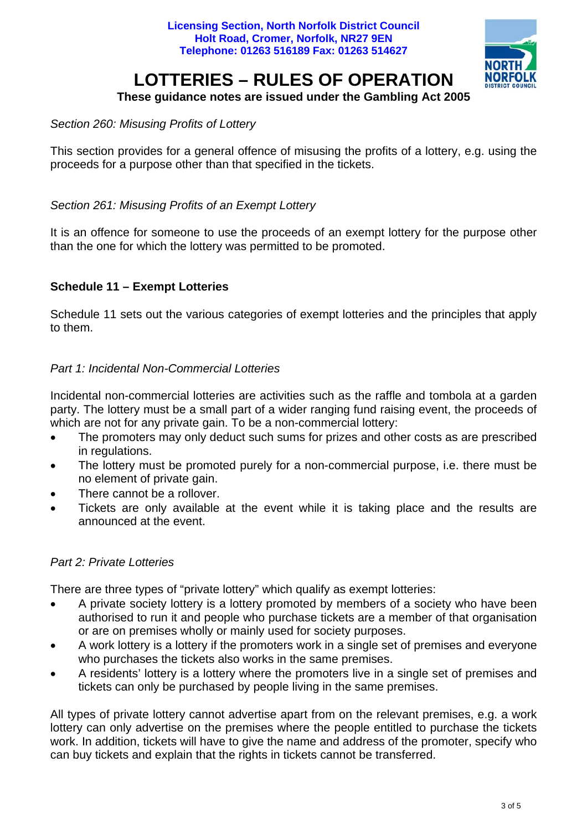

#### **These guidance notes are issued under the Gambling Act 2005**

#### *Section 260: Misusing Profits of Lottery*

This section provides for a general offence of misusing the profits of a lottery, e.g. using the proceeds for a purpose other than that specified in the tickets.

#### *Section 261: Misusing Profits of an Exempt Lottery*

It is an offence for someone to use the proceeds of an exempt lottery for the purpose other than the one for which the lottery was permitted to be promoted.

#### **Schedule 11 – Exempt Lotteries**

Schedule 11 sets out the various categories of exempt lotteries and the principles that apply to them.

#### *Part 1: Incidental Non-Commercial Lotteries*

Incidental non-commercial lotteries are activities such as the raffle and tombola at a garden party. The lottery must be a small part of a wider ranging fund raising event, the proceeds of which are not for any private gain. To be a non-commercial lottery:

- The promoters may only deduct such sums for prizes and other costs as are prescribed in regulations.
- The lottery must be promoted purely for a non-commercial purpose, i.e. there must be no element of private gain.
- There cannot be a rollover.
- Tickets are only available at the event while it is taking place and the results are announced at the event.

#### *Part 2: Private Lotteries*

There are three types of "private lottery" which qualify as exempt lotteries:

- A private society lottery is a lottery promoted by members of a society who have been authorised to run it and people who purchase tickets are a member of that organisation or are on premises wholly or mainly used for society purposes.
- A work lottery is a lottery if the promoters work in a single set of premises and everyone who purchases the tickets also works in the same premises.
- A residents' lottery is a lottery where the promoters live in a single set of premises and tickets can only be purchased by people living in the same premises.

All types of private lottery cannot advertise apart from on the relevant premises, e.g. a work lottery can only advertise on the premises where the people entitled to purchase the tickets work. In addition, tickets will have to give the name and address of the promoter, specify who can buy tickets and explain that the rights in tickets cannot be transferred.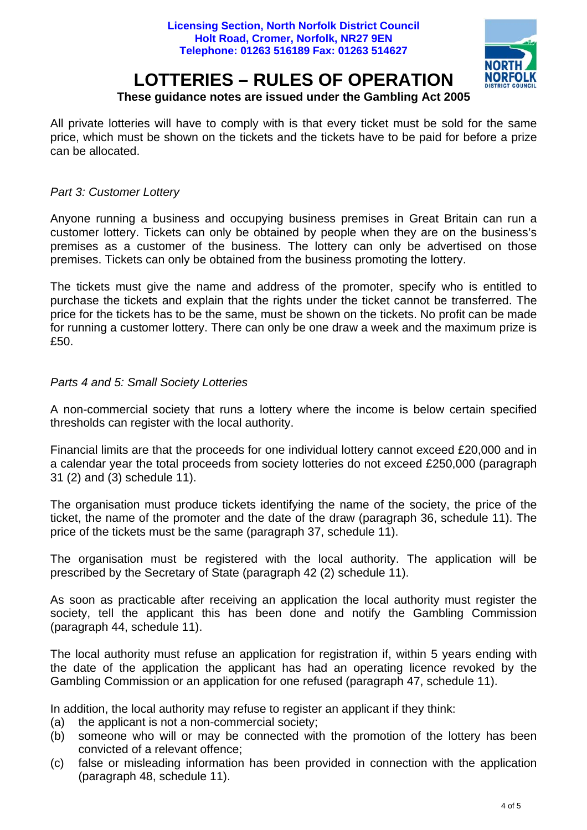

## **These guidance notes are issued under the Gambling Act 2005**

All private lotteries will have to comply with is that every ticket must be sold for the same price, which must be shown on the tickets and the tickets have to be paid for before a prize can be allocated.

#### *Part 3: Customer Lottery*

Anyone running a business and occupying business premises in Great Britain can run a customer lottery. Tickets can only be obtained by people when they are on the business's premises as a customer of the business. The lottery can only be advertised on those premises. Tickets can only be obtained from the business promoting the lottery.

The tickets must give the name and address of the promoter, specify who is entitled to purchase the tickets and explain that the rights under the ticket cannot be transferred. The price for the tickets has to be the same, must be shown on the tickets. No profit can be made for running a customer lottery. There can only be one draw a week and the maximum prize is £50

#### *Parts 4 and 5: Small Society Lotteries*

A non-commercial society that runs a lottery where the income is below certain specified thresholds can register with the local authority.

Financial limits are that the proceeds for one individual lottery cannot exceed £20,000 and in a calendar year the total proceeds from society lotteries do not exceed £250,000 (paragraph 31 (2) and (3) schedule 11).

The organisation must produce tickets identifying the name of the society, the price of the ticket, the name of the promoter and the date of the draw (paragraph 36, schedule 11). The price of the tickets must be the same (paragraph 37, schedule 11).

The organisation must be registered with the local authority. The application will be prescribed by the Secretary of State (paragraph 42 (2) schedule 11).

As soon as practicable after receiving an application the local authority must register the society, tell the applicant this has been done and notify the Gambling Commission (paragraph 44, schedule 11).

The local authority must refuse an application for registration if, within 5 years ending with the date of the application the applicant has had an operating licence revoked by the Gambling Commission or an application for one refused (paragraph 47, schedule 11).

In addition, the local authority may refuse to register an applicant if they think:

- (a) the applicant is not a non-commercial society;
- (b) someone who will or may be connected with the promotion of the lottery has been convicted of a relevant offence;
- (c) false or misleading information has been provided in connection with the application (paragraph 48, schedule 11).